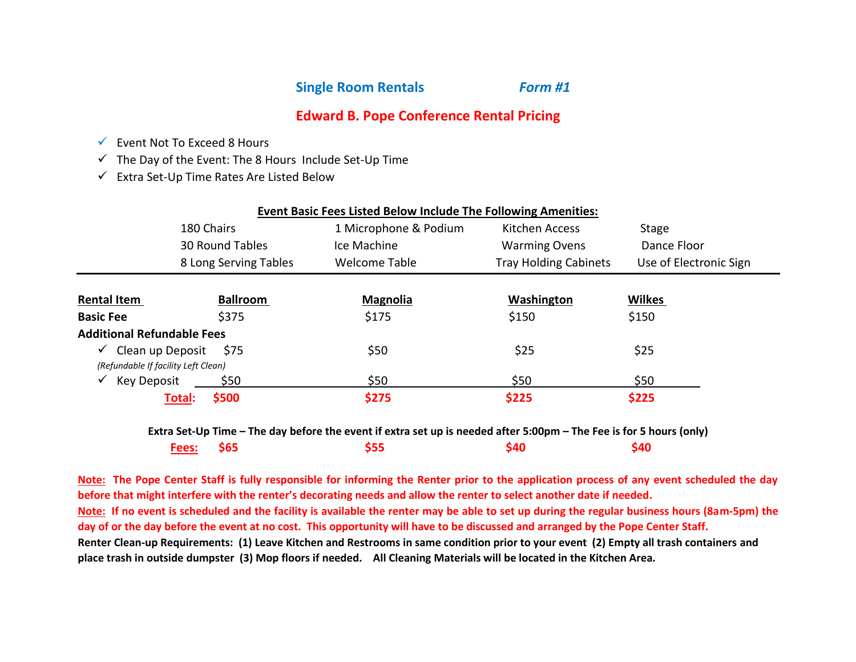**Single Room Rentals** *Form #1*

## **Edward B. Pope Conference Rental Pricing**

- $\checkmark$  Event Not To Exceed 8 Hours
- $\checkmark$  The Day of the Event: The 8 Hours Include Set-Up Time
- $\checkmark$  Extra Set-Up Time Rates Are Listed Below

|                                     |                       | <b>Event Basic Fees Listed Below Include The Following Amenities:</b> |                              |                        |
|-------------------------------------|-----------------------|-----------------------------------------------------------------------|------------------------------|------------------------|
|                                     | 180 Chairs            | 1 Microphone & Podium                                                 | Kitchen Access               | Stage                  |
|                                     | 30 Round Tables       | Ice Machine                                                           | <b>Warming Ovens</b>         | Dance Floor            |
|                                     | 8 Long Serving Tables | Welcome Table                                                         | <b>Tray Holding Cabinets</b> | Use of Electronic Sign |
|                                     |                       |                                                                       |                              |                        |
| <b>Rental Item</b>                  | <b>Ballroom</b>       | <b>Magnolia</b>                                                       | Washington                   | <b>Wilkes</b>          |
| <b>Basic Fee</b>                    | \$375                 | \$175                                                                 | \$150                        | \$150                  |
| <b>Additional Refundable Fees</b>   |                       |                                                                       |                              |                        |
| $\checkmark$                        | Clean up Deposit \$75 | \$50                                                                  | \$25                         | \$25                   |
| (Refundable If facility Left Clean) |                       |                                                                       |                              |                        |
| Key Deposit<br>$\checkmark$         | \$50                  | \$50                                                                  | \$50                         | \$50                   |
|                                     | \$500<br>Total:       | \$275                                                                 | \$225                        | \$225                  |

**Extra Set-Up Time – The day before the event if extra set up is needed after 5:00pm – The Fee is for 5 hours (only) Fees: \$65 \$55 \$40 \$40**

**Note: The Pope Center Staff is fully responsible for informing the Renter prior to the application process of any event scheduled the day before that might interfere with the renter's decorating needs and allow the renter to select another date if needed. Note: If no event is scheduled and the facility is available the renter may be able to set up during the regular business hours (8am-5pm) the day of or the day before the event at no cost. This opportunity will have to be discussed and arranged by the Pope Center Staff. Renter Clean-up Requirements: (1) Leave Kitchen and Restrooms in same condition prior to your event (2) Empty all trash containers and place trash in outside dumpster (3) Mop floors if needed. All Cleaning Materials will be located in the Kitchen Area.**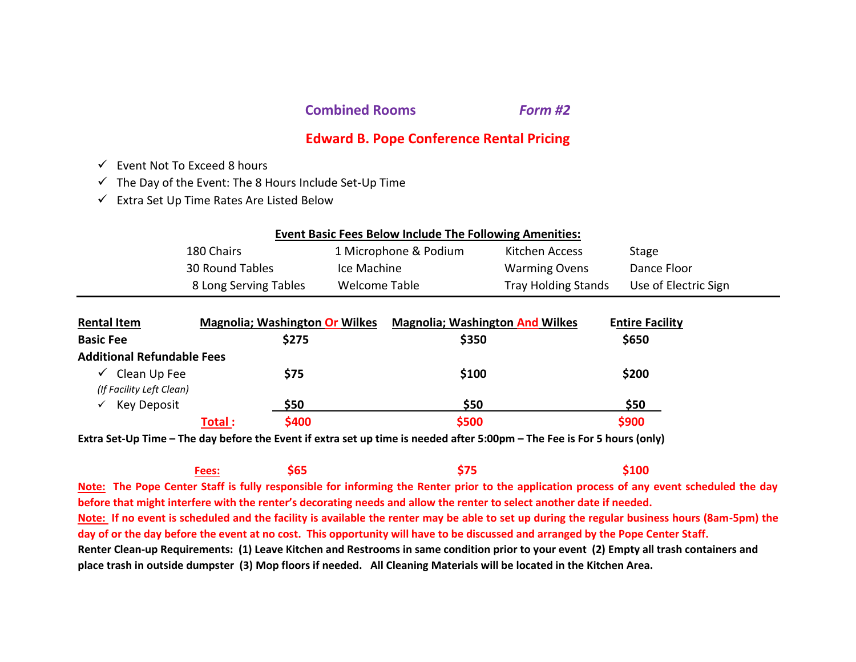**Combined Rooms** *Form #2*

# **Edward B. Pope Conference Rental Pricing**

- $\checkmark$  Event Not To Exceed 8 hours
- $\checkmark$  The Day of the Event: The 8 Hours Include Set-Up Time
- $\checkmark$  Extra Set Up Time Rates Are Listed Below

| <b>Event Basic Fees Below Include The Following Amenities:</b> |                       |                       |                            |                      |
|----------------------------------------------------------------|-----------------------|-----------------------|----------------------------|----------------------|
|                                                                | 180 Chairs            | 1 Microphone & Podium | Kitchen Access             | Stage                |
|                                                                | 30 Round Tables       | Ice Machine           | <b>Warming Ovens</b>       | Dance Floor          |
|                                                                | 8 Long Serving Tables | Welcome Table         | <b>Tray Holding Stands</b> | Use of Electric Sign |
|                                                                |                       |                       |                            |                      |

| <b>Rental Item</b>                                       |         | <b>Magnolia; Washington Or Wilkes</b> | <b>Magnolia; Washington And Wilkes</b> | <b>Entire Facility</b> |  |
|----------------------------------------------------------|---------|---------------------------------------|----------------------------------------|------------------------|--|
| <b>Basic Fee</b>                                         |         | \$275                                 | \$350                                  | \$650                  |  |
| <b>Additional Refundable Fees</b>                        |         |                                       |                                        |                        |  |
| Clean Up Fee<br>$\checkmark$<br>(If Facility Left Clean) |         | \$75                                  | \$100                                  | \$200                  |  |
| Key Deposit<br>$\checkmark$                              |         | \$50                                  | \$50                                   | \$50                   |  |
|                                                          | Total : | \$400                                 | \$500                                  | \$900                  |  |

**Extra Set-Up Time – The day before the Event if extra set up time is needed after 5:00pm – The Fee is For 5 hours (only)**

**Fees: \$65 \$75 \$100 Note: The Pope Center Staff is fully responsible for informing the Renter prior to the application process of any event scheduled the day before that might interfere with the renter's decorating needs and allow the renter to select another date if needed. Note: If no event is scheduled and the facility is available the renter may be able to set up during the regular business hours (8am-5pm) the day of or the day before the event at no cost. This opportunity will have to be discussed and arranged by the Pope Center Staff. Renter Clean-up Requirements: (1) Leave Kitchen and Restrooms in same condition prior to your event (2) Empty all trash containers and place trash in outside dumpster (3) Mop floors if needed. All Cleaning Materials will be located in the Kitchen Area.**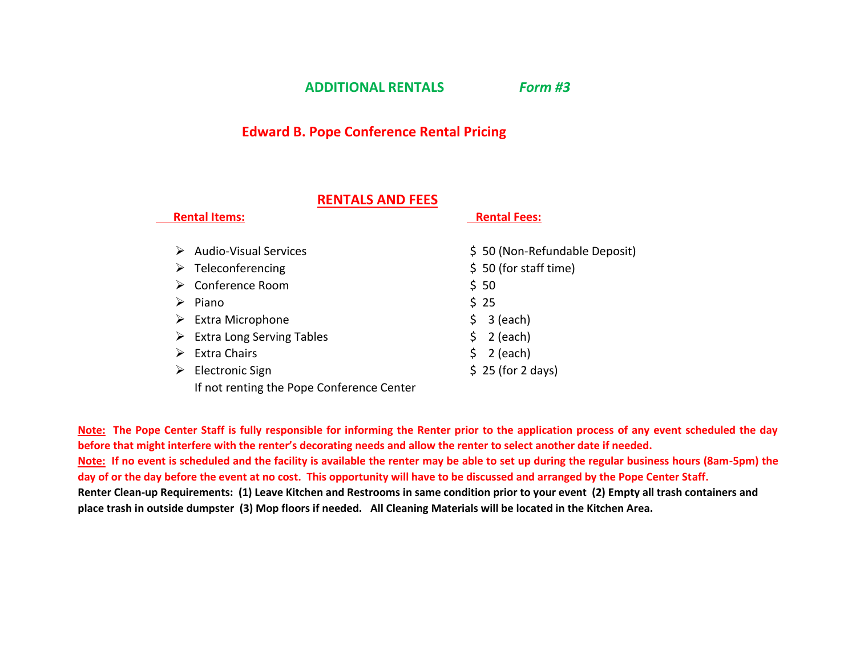**ADDITIONAL RENTALS** *Form #3*

## **Edward B. Pope Conference Rental Pricing**

#### **RENTALS AND FEES**

 **Rental Items: Rental Fees:**

|                                       | .                             |  |
|---------------------------------------|-------------------------------|--|
| <b>Audio-Visual Services</b>          | \$50 (Non-Refundable Deposit) |  |
| Teleconferencing<br>➤                 | $$50$ (for staff time)        |  |
| Conference Room                       | \$50                          |  |
| Piano                                 | \$25                          |  |
| <b>Extra Microphone</b><br>➤          | \$3 (each)                    |  |
| <b>Extra Long Serving Tables</b><br>➤ | 2 (each)<br>S.                |  |
| Extra Chairs                          | 2 (each)<br>\$.               |  |
| Electronic Sign                       | $$25$ (for 2 days)            |  |
|                                       |                               |  |

If not renting the Pope Conference Center

**Note: The Pope Center Staff is fully responsible for informing the Renter prior to the application process of any event scheduled the day before that might interfere with the renter's decorating needs and allow the renter to select another date if needed. Note: If no event is scheduled and the facility is available the renter may be able to set up during the regular business hours (8am-5pm) the day of or the day before the event at no cost. This opportunity will have to be discussed and arranged by the Pope Center Staff. Renter Clean-up Requirements: (1) Leave Kitchen and Restrooms in same condition prior to your event (2) Empty all trash containers and place trash in outside dumpster (3) Mop floors if needed. All Cleaning Materials will be located in the Kitchen Area.**